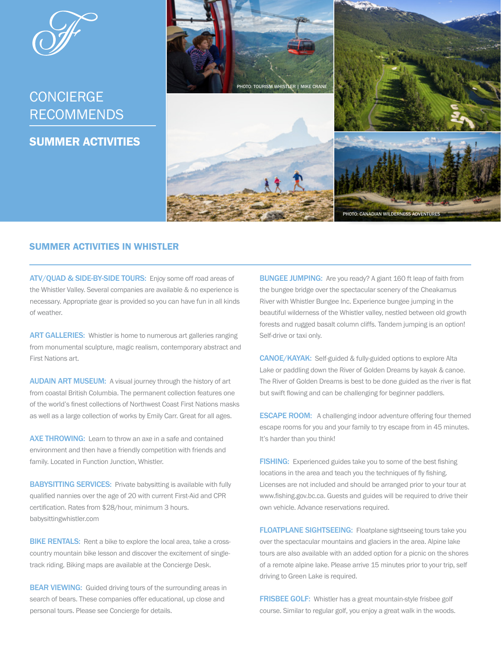

## UUNUILNUL<br>DEGOLILIENDO **CONCIERGE** RECOMMENDS

SUMMER ACTIVITIES



## SUMMER ACTIVITIES IN WHISTLER

ATV/QUAD & SIDE-BY-SIDE TOURS: Enjoy some off road areas of the Whistler Valley. Several companies are available & no experience is necessary. Appropriate gear is provided so you can have fun in all kinds of weather.

ART GALLERIES: Whistler is home to numerous art galleries ranging from monumental sculpture, magic realism, contemporary abstract and First Nations art.

AUDAIN ART MUSEUM: A visual journey through the history of art from coastal British Columbia. The permanent collection features one of the world's finest collections of Northwest Coast First Nations masks as well as a large collection of works by Emily Carr. Great for all ages.

**AXE THROWING:** Learn to throw an axe in a safe and contained environment and then have a friendly competition with friends and family. Located in Function Junction, Whistler.

**BABYSITTING SERVICES:** Private babysitting is available with fully qualified nannies over the age of 20 with current First-Aid and CPR certification. Rates from \$28/hour, minimum 3 hours. babysittingwhistler.com

**BIKE RENTALS:** Rent a bike to explore the local area, take a crosscountry mountain bike lesson and discover the excitement of singletrack riding. Biking maps are available at the Concierge Desk.

**BEAR VIEWING:** Guided driving tours of the surrounding areas in search of bears. These companies offer educational, up close and personal tours. Please see Concierge for details.

**BUNGEE JUMPING:** Are you ready? A giant 160 ft leap of faith from the bungee bridge over the spectacular scenery of the Cheakamus River with Whistler Bungee Inc. Experience bungee jumping in the beautiful wilderness of the Whistler valley, nestled between old growth forests and rugged basalt column cliffs. Tandem jumping is an option! Self-drive or taxi only.

CANOE/KAYAK: Self-guided & fully-guided options to explore Alta Lake or paddling down the River of Golden Dreams by kayak & canoe. The River of Golden Dreams is best to be done guided as the river is flat but swift flowing and can be challenging for beginner paddlers.

**ESCAPE ROOM:** A challenging indoor adventure offering four themed escape rooms for you and your family to try escape from in 45 minutes. It's harder than you think!

FISHING: Experienced guides take you to some of the best fishing locations in the area and teach you the techniques of fly fishing. Licenses are not included and should be arranged prior to your tour at [www.fishing.gov.bc.ca.](http://www.fishing.gov.bc.ca) Guests and guides will be required to drive their own vehicle. Advance reservations required.

FLOATPLANE SIGHTSEEING: Floatplane sightseeing tours take you over the spectacular mountains and glaciers in the area. Alpine lake tours are also available with an added option for a picnic on the shores of a remote alpine lake. Please arrive 15 minutes prior to your trip, self driving to Green Lake is required.

FRISBEE GOLF: Whistler has a great mountain-style frisbee golf course. Similar to regular golf, you enjoy a great walk in the woods.